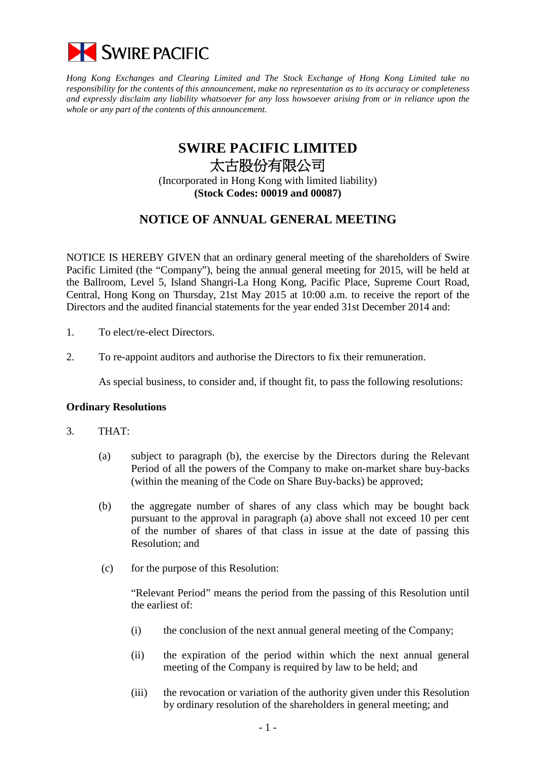

*Hong Kong Exchanges and Clearing Limited and The Stock Exchange of Hong Kong Limited take no responsibility for the contents of this announcement, make no representation as to its accuracy or completeness and expressly disclaim any liability whatsoever for any loss howsoever arising from or in reliance upon the whole or any part of the contents of this announcement.*

## **SWIRE PACIFIC LIMITED** 太古股份有限公司

(Incorporated in Hong Kong with limited liability) **(Stock Codes: 00019 and 00087)**

## **NOTICE OF ANNUAL GENERAL MEETING**

NOTICE IS HEREBY GIVEN that an ordinary general meeting of the shareholders of Swire Pacific Limited (the "Company"), being the annual general meeting for 2015, will be held at the Ballroom, Level 5, Island Shangri-La Hong Kong, Pacific Place, Supreme Court Road, Central, Hong Kong on Thursday, 21st May 2015 at 10:00 a.m. to receive the report of the Directors and the audited financial statements for the year ended 31st December 2014 and:

- 1. To elect/re-elect Directors.
- 2. To re-appoint auditors and authorise the Directors to fix their remuneration.

As special business, to consider and, if thought fit, to pass the following resolutions:

## **Ordinary Resolutions**

- 3. THAT:
	- (a) subject to paragraph (b), the exercise by the Directors during the Relevant Period of all the powers of the Company to make on-market share buy-backs (within the meaning of the Code on Share Buy-backs) be approved;
	- (b) the aggregate number of shares of any class which may be bought back pursuant to the approval in paragraph (a) above shall not exceed 10 per cent of the number of shares of that class in issue at the date of passing this Resolution; and
	- (c) for the purpose of this Resolution:

"Relevant Period" means the period from the passing of this Resolution until the earliest of:

- (i) the conclusion of the next annual general meeting of the Company;
- (ii) the expiration of the period within which the next annual general meeting of the Company is required by law to be held; and
- (iii) the revocation or variation of the authority given under this Resolution by ordinary resolution of the shareholders in general meeting; and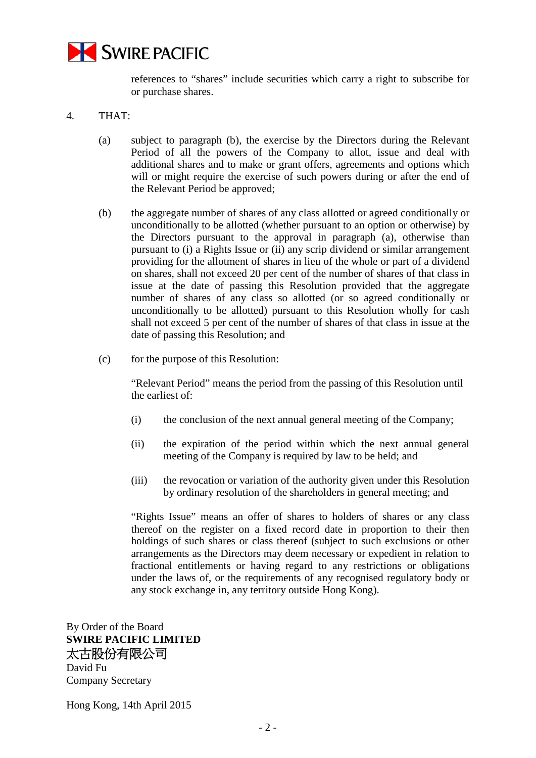

references to "shares" include securities which carry a right to subscribe for or purchase shares.

- 4. THAT:
	- (a) subject to paragraph (b), the exercise by the Directors during the Relevant Period of all the powers of the Company to allot, issue and deal with additional shares and to make or grant offers, agreements and options which will or might require the exercise of such powers during or after the end of the Relevant Period be approved;
	- (b) the aggregate number of shares of any class allotted or agreed conditionally or unconditionally to be allotted (whether pursuant to an option or otherwise) by the Directors pursuant to the approval in paragraph (a), otherwise than pursuant to (i) a Rights Issue or (ii) any scrip dividend or similar arrangement providing for the allotment of shares in lieu of the whole or part of a dividend on shares, shall not exceed 20 per cent of the number of shares of that class in issue at the date of passing this Resolution provided that the aggregate number of shares of any class so allotted (or so agreed conditionally or unconditionally to be allotted) pursuant to this Resolution wholly for cash shall not exceed 5 per cent of the number of shares of that class in issue at the date of passing this Resolution; and
	- (c) for the purpose of this Resolution:

"Relevant Period" means the period from the passing of this Resolution until the earliest of:

- (i) the conclusion of the next annual general meeting of the Company;
- (ii) the expiration of the period within which the next annual general meeting of the Company is required by law to be held; and
- (iii) the revocation or variation of the authority given under this Resolution by ordinary resolution of the shareholders in general meeting; and

"Rights Issue" means an offer of shares to holders of shares or any class thereof on the register on a fixed record date in proportion to their then holdings of such shares or class thereof (subject to such exclusions or other arrangements as the Directors may deem necessary or expedient in relation to fractional entitlements or having regard to any restrictions or obligations under the laws of, or the requirements of any recognised regulatory body or any stock exchange in, any territory outside Hong Kong).

By Order of the Board **SWIRE PACIFIC LIMITED** 太古股份有限公司

David Fu Company Secretary

Hong Kong, 14th April 2015